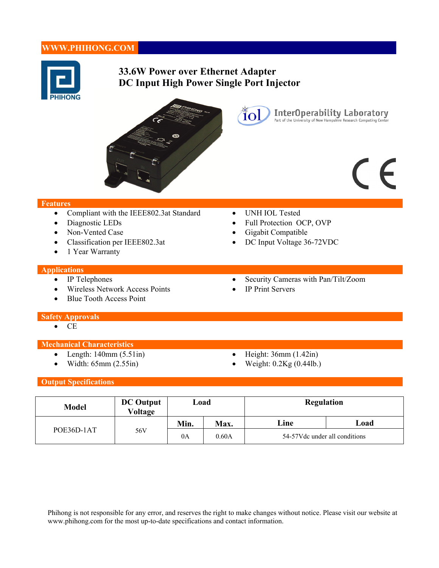# **WWW.PHIHONG.COM**



# **33.6W Power over Ethernet Adapter DC Input High Power Single Port Injector**



# CE

InterOperability Laboratory<br>Part of the University of New Hampshire Research Computing Center

#### **Features**

- Compliant with the IEEE802.3at Standard UNH IOL Tested
- Diagnostic LEDs Full Protection OCP, OVP
- Non-Vented Case <br>• Gigabit Compatible
- Classification per IEEE802.3at DC Input Voltage 36-72VDC
- 1 Year Warranty

#### **Applications**

- 
- Wireless Network Access Points IP Print Servers
- Blue Tooth Access Point

Ïol

- 
- 
- 
- IP Telephones Security Cameras with Pan/Tilt/Zoom
	-

#### **Safety Approvals**

 $\bullet$  CE

#### **Mechanical Characteristics**

- 
- 
- Length:  $140 \text{mm}$  (5.51in) Height:  $36 \text{mm}$  (1.42in)
- Width:  $65 \text{mm}$  (2.55in) Weight:  $0.2 \text{Kg}$  (0.44lb.)

#### **Output Specifications**

| <b>Model</b> | <b>DC Output</b><br><b>Voltage</b> | Load |             | <b>Regulation</b>              |      |
|--------------|------------------------------------|------|-------------|--------------------------------|------|
| POE36D-1AT   | 56V                                | Min. | <b>Max.</b> | Line                           | Load |
|              |                                    | 0A   | 0.60A       | 54-57V dc under all conditions |      |

Phihong is not responsible for any error, and reserves the right to make changes without notice. Please visit our website at www.phihong.com for the most up-to-date specifications and contact information.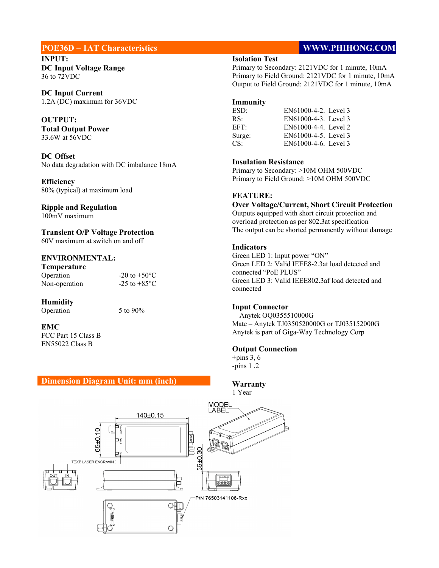## **POE36D – 1AT Characteristics WWW.PHIHONG.COM**

**INPUT: DC Input Voltage Range**  36 to 72VDC

**DC Input Current**  1.2A (DC) maximum for 36VDC

**OUTPUT: Total Output Power** 33.6W at 56VDC

**DC Offset**  No data degradation with DC imbalance 18mA

**Efficiency**  80% (typical) at maximum load

# **Ripple and Regulation**

100mV maximum

**Transient O/P Voltage Protection**  60V maximum at switch on and off

#### **ENVIRONMENTAL:**

| Temperature   |                          |
|---------------|--------------------------|
| Operation     | $-20$ to $+50^{\circ}$ C |
| Non-operation | $-25$ to $+85$ °C        |

#### **Humidity**

Operation 5 to 90%

#### **EMC**

FCC Part 15 Class B EN55022 Class B

#### **Dimension Diagram Unit: mm (inch)**

### **Isolation Test**

Primary to Secondary: 2121VDC for 1 minute, 10mA Primary to Field Ground: 2121VDC for 1 minute, 10mA Output to Field Ground: 2121VDC for 1 minute, 10mA

#### **Immunity**

| ESD:   | EN61000-4-2. Level 3 |
|--------|----------------------|
| RS∙    | EN61000-4-3. Level 3 |
| EFT∙   | EN61000-4-4. Level 2 |
| Surge: | EN61000-4-5. Level 3 |
| CS:    | EN61000-4-6. Level 3 |

#### **Insulation Resistance**

Primary to Secondary: >10M OHM 500VDC Primary to Field Ground: >10M OHM 500VDC

#### **FEATURE:**

**Over Voltage/Current, Short Circuit Protection**  Outputs equipped with short circuit protection and overload protection as per 802.3at specification The output can be shorted permanently without damage

#### **Indicators**

Green LED 1: Input power "ON" Green LED 2: Valid IEEE8-2.3at load detected and connected "PoE PLUS" Green LED 3: Valid IEEE802.3af load detected and connected

#### **Input Connector**

– Anytek OQ0355510000G Mate – Anytek TJ0350520000G or TJ035152000G Anytek is part of Giga-Way Technology Corp

#### **Output Connection**

 $+$ pins 3, 6 -pins 1 ,2

**Warranty**  1 Year